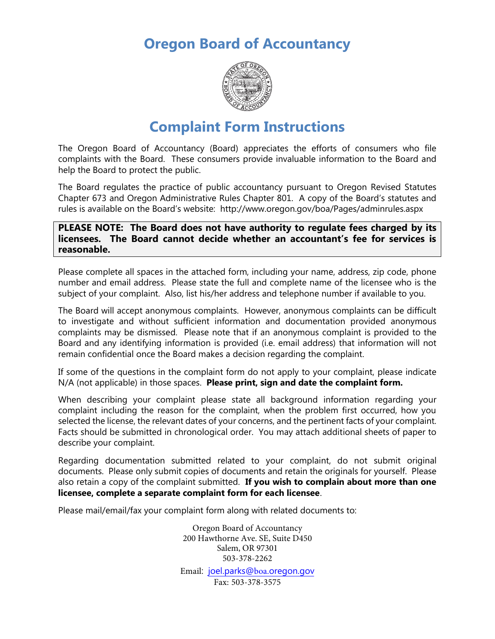**Oregon Board of Accountancy**



# **Complaint Form Instructions**

The Oregon Board of Accountancy (Board) appreciates the efforts of consumers who file complaints with the Board. These consumers provide invaluable information to the Board and help the Board to protect the public.

The Board regulates the practice of public accountancy pursuant to Oregon Revised Statutes Chapter 673 and Oregon Administrative Rules Chapter 801. A copy of the Board's statutes and rules is available on the Board's website: http://www.oregon.gov/boa/Pages/adminrules.aspx

**PLEASE NOTE: The Board does not have authority to regulate fees charged by its licensees. The Board cannot decide whether an accountant's fee for services is reasonable.**

Please complete all spaces in the attached form, including your name, address, zip code, phone number and email address. Please state the full and complete name of the licensee who is the subject of your complaint. Also, list his/her address and telephone number if available to you.

The Board will accept anonymous complaints. However, anonymous complaints can be difficult to investigate and without sufficient information and documentation provided anonymous complaints may be dismissed. Please note that if an anonymous complaint is provided to the Board and any identifying information is provided (i.e. email address) that information will not remain confidential once the Board makes a decision regarding the complaint.

If some of the questions in the complaint form do not apply to your complaint, please indicate N/A (not applicable) in those spaces. **Please print, sign and date the complaint form.**

When describing your complaint please state all background information regarding your complaint including the reason for the complaint, when the problem first occurred, how you selected the license, the relevant dates of your concerns, and the pertinent facts of your complaint. Facts should be submitted in chronological order. You may attach additional sheets of paper to describe your complaint.

Regarding documentation submitted related to your complaint, do not submit original documents. Please only submit copies of documents and retain the originals for yourself. Please also retain a copy of the complaint submitted. **If you wish to complain about more than one licensee, complete a separate complaint form for each licensee**.

Please mail/email/fax your complaint form along with related documents to:

Oregon Board of Accountancy 200 Hawthorne Ave. SE, Suite D450 Salem, OR 97301 503-378-2262

Email: joel.parks@boa.oregon.gov Fax: 503-378-3575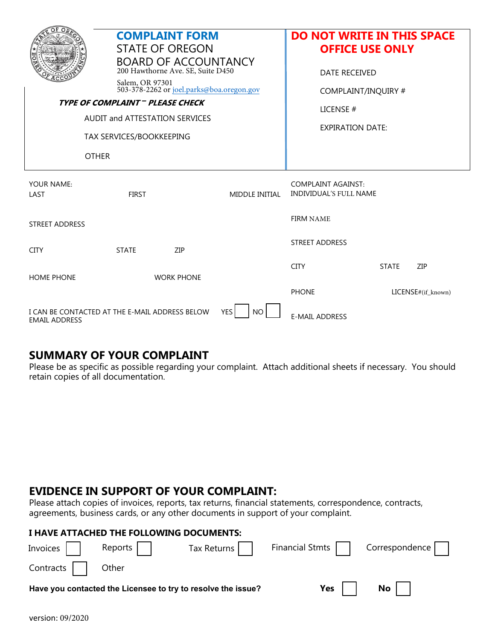|                                                                                             | <b>COMPLAINT FORM</b><br><b>STATE OF OREGON</b><br><b>BOARD OF ACCOUNTANCY</b><br>200 Hawthorne Ave. SE, Suite D450<br>Salem, OR 97301<br>503-378-2262 or joel.parks@boa.oregon.gov<br>TYPE OF COMPLAINT - PLEASE CHECK |                   |                       | <b>DO NOT WRITE IN THIS SPACE</b><br><b>OFFICE USE ONLY</b><br><b>DATE RECEIVED</b><br>COMPLAINT/INQUIRY # |              |                    |
|---------------------------------------------------------------------------------------------|-------------------------------------------------------------------------------------------------------------------------------------------------------------------------------------------------------------------------|-------------------|-----------------------|------------------------------------------------------------------------------------------------------------|--------------|--------------------|
| <b>AUDIT and ATTESTATION SERVICES</b>                                                       |                                                                                                                                                                                                                         |                   |                       | LICENSE#                                                                                                   |              |                    |
| TAX SERVICES/BOOKKEEPING                                                                    |                                                                                                                                                                                                                         |                   |                       | <b>EXPIRATION DATE:</b>                                                                                    |              |                    |
| <b>OTHER</b>                                                                                |                                                                                                                                                                                                                         |                   |                       |                                                                                                            |              |                    |
| YOUR NAME:<br>LAST                                                                          | <b>FIRST</b>                                                                                                                                                                                                            |                   | <b>MIDDLE INITIAL</b> | <b>COMPLAINT AGAINST:</b><br><b>INDIVIDUAL'S FULL NAME</b>                                                 |              |                    |
| <b>STREET ADDRESS</b>                                                                       |                                                                                                                                                                                                                         |                   |                       | <b>FIRM NAME</b>                                                                                           |              |                    |
| <b>CITY</b>                                                                                 | <b>STATE</b>                                                                                                                                                                                                            | ZIP               |                       | <b>STREET ADDRESS</b>                                                                                      |              |                    |
| <b>HOME PHONE</b>                                                                           |                                                                                                                                                                                                                         | <b>WORK PHONE</b> |                       | <b>CITY</b>                                                                                                | <b>STATE</b> | ZIP                |
|                                                                                             |                                                                                                                                                                                                                         |                   |                       | <b>PHONE</b>                                                                                               |              | LICENSE#(if_known) |
| I CAN BE CONTACTED AT THE E-MAIL ADDRESS BELOW<br><b>YES</b><br>NO.<br><b>EMAIL ADDRESS</b> |                                                                                                                                                                                                                         |                   |                       | <b>E-MAIL ADDRESS</b>                                                                                      |              |                    |

#### **SUMMARY OF YOUR COMPLAINT**

Please be as specific as possible regarding your complaint. Attach additional sheets if necessary. You should retain copies of all documentation.

### **EVIDENCE IN SUPPORT OF YOUR COMPLAINT:**

Please attach copies of invoices, reports, tax returns, financial statements, correspondence, contracts, agreements, business cards, or any other documents in support of your complaint.

| I HAVE ATTACHED THE FOLLOWING DOCUMENTS:                     |         |  |                                                    |               |  |  |  |  |
|--------------------------------------------------------------|---------|--|----------------------------------------------------|---------------|--|--|--|--|
| Invoices                                                     | Reports |  | Tax Returns     Financial Stmts     Correspondence |               |  |  |  |  |
| Contracts     Other                                          |         |  |                                                    |               |  |  |  |  |
| Have you contacted the Licensee to try to resolve the issue? |         |  | Yes $\vert$ $\vert$                                | $\mathsf{No}$ |  |  |  |  |